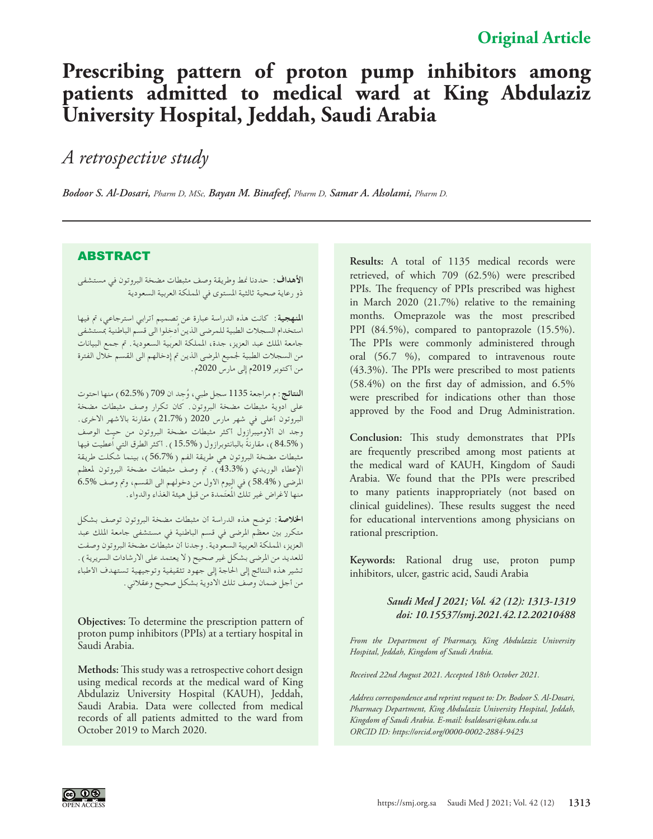# **Prescribing pattern of proton pump inhibitors among patients admitted to medical ward at King Abdulaziz University Hospital, Jeddah, Saudi Arabia**

## *A retrospective study*

*Bodoor S. Al-Dosari, Pharm D, MSc, Bayan M. Binafeef, Pharm D, Samar A. Alsolami, Pharm D.*

## ABSTRACT

**األهداف:** حددنا منط وطريقة وصف مثبطات مضخة البروتون في مستشفى ذو رعاية صحية ثالثية املستوى في اململكة العربية السعودية

**املنهجية:** كانت هذه الدراسة عبارة عن تصميم أترابي استرجاعي، مت فيها استخدام السجالت الطبية للمرضى الذين اُ ِدخلوا الى قسم الباطنية مبستشفى جامعة امللك عبد العزيز، جدة، اململكة العربية السعودية. مت جمع البيانات من السجالت الطبية جلميع املرضى الذين مت إدخالهم الى القسم خالل الفترة من أكتوبر 2019م إلى مارس 2020م.

**النتائج:**م مراجعة 1135 ُ سجل طبي، و ِجد ان 709 )62.5%( منها احتوت على ادوية مثبطات مضخة البروتون. كان تكرار وصف مثبطات مضخة البروتون أعلى في شهر مارس 2020 (21.7%) مقارنة بالأشهر الاخرى. وجد ان أالوميبرازول أكثر مثبطات مضخة البروتون من حيث الوصف )84.5%( ً ، مقارنة بالبانتوبرازول )15.5%(. أكثر الطرق التي اُعطيت فيها مثبطات مضخة البروتون هي طريقة الفم )56.7%(، بينما شكلت طريقة الإعطاء الوريدي ( 43.3%). تم وصف مثبطات مضخة البروتون لمعظم المرضى ( 58.4% ) في اليوم الأول من دخولهم الى القسم، وتم وصف 6.5% منها لأغراض غير تلكّ المُعتَمدة من قبل هيئة الغذاء والدواء.

**اخلالصة:** توضح هذه الدراسة أن مثبطات مضخة البروتون توصف بشكل متكرر بني معظم املرضى في قسم الباطنية في مستشفى جامعة امللك عبد العزيز، اململكة العربية السعودية. وجدنا أن مثبطات مضخة البروتون وصفت للعديد من المرضى بشكل غير صحيح ( لا يعتمد على الارشادات السريرية ) . تشير هذه النتائج إلى احلاجة إلى جهود تثقيفية وتوجيهية تستهدف األطباء من أجل ضمان وصف تلك االدوية بشكل صحيح وعقالني.

**Objectives:** To determine the prescription pattern of proton pump inhibitors (PPIs) at a tertiary hospital in Saudi Arabia.

**Methods:** This study was a retrospective cohort design using medical records at the medical ward of King Abdulaziz University Hospital (KAUH), Jeddah, Saudi Arabia. Data were collected from medical records of all patients admitted to the ward from October 2019 to March 2020.

**Results:** A total of 1135 medical records were retrieved, of which 709 (62.5%) were prescribed PPIs. The frequency of PPIs prescribed was highest in March 2020 (21.7%) relative to the remaining months. Omeprazole was the most prescribed PPI (84.5%), compared to pantoprazole (15.5%). The PPIs were commonly administered through oral (56.7 %), compared to intravenous route (43.3%). The PPIs were prescribed to most patients (58.4%) on the first day of admission, and 6.5% were prescribed for indications other than those approved by the Food and Drug Administration.

**Conclusion:** This study demonstrates that PPIs are frequently prescribed among most patients at the medical ward of KAUH, Kingdom of Saudi Arabia. We found that the PPIs were prescribed to many patients inappropriately (not based on clinical guidelines). These results suggest the need for educational interventions among physicians on rational prescription.

**Keywords:** Rational drug use, proton pump inhibitors, ulcer, gastric acid, Saudi Arabia

#### *Saudi Med J 2021; Vol. 42 (12): 1313-1319 doi: 10.15537/smj.2021.42.12.20210488*

*From the Department of Pharmacy, King Abdulaziz University Hospital, Jeddah, Kingdom of Saudi Arabia.*

*Received 22nd August 2021. Accepted 18th October 2021.*

*Address correspondence and reprint request to: Dr. Bodoor S. Al-Dosari, Pharmacy Department, King Abdulaziz University Hospital, Jeddah, Kingdom of Saudi Arabia. E-mail: bsaldosari@kau.edu.sa ORCID ID: https://orcid.org/0000-0002-2884-9423* 

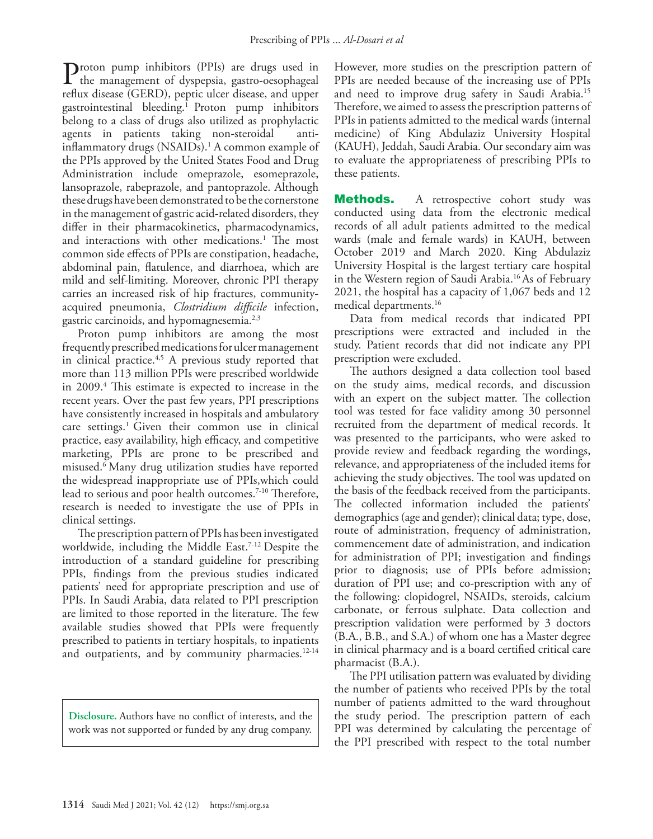Proton pump inhibitors (PPIs) are drugs used in<br>the management of dyspepsia, gastro-oesophageal<br>reflux discase (CEPD), paptic ulser discase and unner reflux disease (GERD), peptic ulcer disease, and upper gastrointestinal bleeding.[1](#page-5-0) Proton pump inhibitors belong to a class of drugs also utilized as prophylactic agents in patients taking non-steroidal antiinflammatory drugs (NSAIDs)[.1](#page-5-0) A common example of the PPIs approved by the United States Food and Drug Administration include omeprazole, esomeprazole, lansoprazole, rabeprazole, and pantoprazole. Although these drugs have been demonstrated to be the cornerstone in the management of gastric acid-related disorders, they differ in their pharmacokinetics, pharmacodynamics, and interactions with other medications.<sup>1</sup> The most common side effects of PPIs are constipation, headache, abdominal pain, flatulence, and diarrhoea, which are mild and self-limiting. Moreover, chronic PPI therapy carries an increased risk of hip fractures, communityacquired pneumonia, *Clostridium difficile* infection, gastric carcinoids, and hypomagnesemia.<sup>[2](#page-5-1)[,3](#page-5-2)</sup>

Proton pump inhibitors are among the most frequently prescribed medications for ulcer management in clinical practice.<sup>4,5</sup> A previous study reported that more than 113 million PPIs were prescribed worldwide in 2009[.4](#page-5-3) This estimate is expected to increase in the recent years. Over the past few years, PPI prescriptions have consistently increased in hospitals and ambulatory care settings.<sup>1</sup> Given their common use in clinical practice, easy availability, high efficacy, and competitive marketing, PPIs are prone to be prescribed and misused.[6](#page-5-5) Many drug utilization studies have reported the widespread inappropriate use of PPIs,which could lead to serious and poor health outcomes.<sup>7-10</sup> Therefore, research is needed to investigate the use of PPIs in clinical settings.

The prescription pattern of PPIs has been investigated worldwide, including the Middle East.<sup>7-12</sup> Despite the introduction of a standard guideline for prescribing PPIs, findings from the previous studies indicated patients' need for appropriate prescription and use of PPIs. In Saudi Arabia, data related to PPI prescription are limited to those reported in the literature. The few available studies showed that PPIs were frequently prescribed to patients in tertiary hospitals, to inpatients and outpatients, and by community pharmacies. $12-14$  $12-14$ 

**Disclosure.** Authors have no conflict of interests, and the work was not supported or funded by any drug company.

However, more studies on the prescription pattern of PPIs are needed because of the increasing use of PPIs and need to improve drug safety in Saudi Arabia[.15](#page-5-10) Therefore, we aimed to assess the prescription patterns of PPIs in patients admitted to the medical wards (internal medicine) of King Abdulaziz University Hospital (KAUH), Jeddah, Saudi Arabia. Our secondary aim was to evaluate the appropriateness of prescribing PPIs to these patients.

**Methods.** A retrospective cohort study was conducted using data from the electronic medical records of all adult patients admitted to the medical wards (male and female wards) in KAUH, between October 2019 and March 2020. King Abdulaziz University Hospital is the largest tertiary care hospital in the Western region of Saudi Arabia.[16](#page-5-11) As of February 2021, the hospital has a capacity of 1,067 beds and 12 medical departments[.16](#page-5-11)

Data from medical records that indicated PPI prescriptions were extracted and included in the study. Patient records that did not indicate any PPI prescription were excluded.

The authors designed a data collection tool based on the study aims, medical records, and discussion with an expert on the subject matter. The collection tool was tested for face validity among 30 personnel recruited from the department of medical records. It was presented to the participants, who were asked to provide review and feedback regarding the wordings, relevance, and appropriateness of the included items for achieving the study objectives. The tool was updated on the basis of the feedback received from the participants. The collected information included the patients' demographics (age and gender); clinical data; type, dose, route of administration, frequency of administration, commencement date of administration, and indication for administration of PPI; investigation and findings prior to diagnosis; use of PPIs before admission; duration of PPI use; and co-prescription with any of the following: clopidogrel, NSAIDs, steroids, calcium carbonate, or ferrous sulphate. Data collection and prescription validation were performed by 3 doctors (B.A., B.B., and S.A.) of whom one has a Master degree in clinical pharmacy and is a board certified critical care pharmacist (B.A.).

The PPI utilisation pattern was evaluated by dividing the number of patients who received PPIs by the total number of patients admitted to the ward throughout the study period. The prescription pattern of each PPI was determined by calculating the percentage of the PPI prescribed with respect to the total number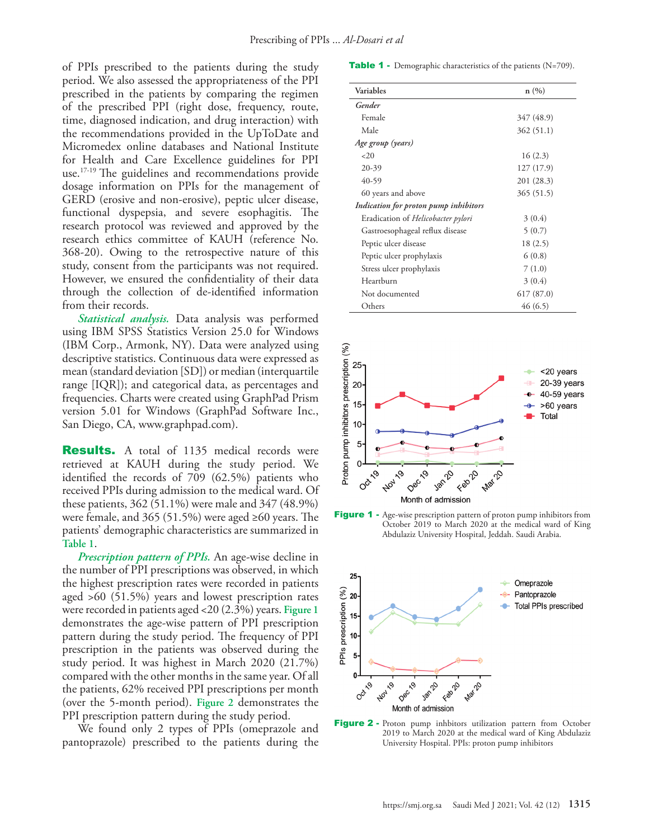of PPIs prescribed to the patients during the study period. We also assessed the appropriateness of the PPI prescribed in the patients by comparing the regimen of the prescribed PPI (right dose, frequency, route, time, diagnosed indication, and drug interaction) with the recommendations provided in the UpToDate and Micromedex online databases and National Institute for Health and Care Excellence guidelines for PPI use.[17](#page-5-12)[-19](#page-5-13) The guidelines and recommendations provide dosage information on PPIs for the management of GERD (erosive and non-erosive), peptic ulcer disease, functional dyspepsia, and severe esophagitis. The research protocol was reviewed and approved by the research ethics committee of KAUH (reference No. 368-20). Owing to the retrospective nature of this study, consent from the participants was not required. However, we ensured the confidentiality of their data through the collection of de-identified information from their records.

*Statistical analysis.* Data analysis was performed using IBM SPSS Statistics Version 25.0 for Windows (IBM Corp., Armonk, NY). Data were analyzed using descriptive statistics. Continuous data were expressed as mean (standard deviation [SD]) or median (interquartile range [IQR]); and categorical data, as percentages and frequencies. Charts were created using GraphPad Prism version 5.01 for Windows (GraphPad Software Inc., San Diego, CA, www.graphpad.com).

**Results.** A total of 1135 medical records were retrieved at KAUH during the study period. We identified the records of 709 (62.5%) patients who received PPIs during admission to the medical ward. Of these patients, 362 (51.1%) were male and 347 (48.9%) were female, and 365 (51.5%) were aged ≥60 years. The patients' demographic characteristics are summarized in **Table 1**.

*Prescription pattern of PPIs.* An age-wise decline in the number of PPI prescriptions was observed, in which the highest prescription rates were recorded in patients aged >60 (51.5%) years and lowest prescription rates were recorded in patients aged <20 (2.3%) years. **Figure 1** demonstrates the age-wise pattern of PPI prescription pattern during the study period. The frequency of PPI prescription in the patients was observed during the study period. It was highest in March 2020 (21.7%) compared with the other months in the same year. Of all the patients, 62% received PPI prescriptions per month (over the 5-month period). **Figure 2** demonstrates the PPI prescription pattern during the study period.

We found only 2 types of PPIs (omeprazole and pantoprazole) prescribed to the patients during the

Table 1 - Demographic characteristics of the patients (N=709).

| Variables                             | n(%)       |
|---------------------------------------|------------|
| Gender                                |            |
| Female                                | 347 (48.9) |
| Male                                  | 362 (51.1) |
| Age group (years)                     |            |
| <20                                   | 16(2.3)    |
| 20-39                                 | 127 (17.9) |
| 40-59                                 | 201 (28.3) |
| 60 years and above                    | 365 (51.5) |
| Indication for proton pump inhibitors |            |
| Eradication of Helicobacter pylori    | 3(0.4)     |
| Gastroesophageal reflux disease       | 5(0.7)     |
| Peptic ulcer disease                  | 18 (2.5)   |
| Peptic ulcer prophylaxis              | 6(0.8)     |
| Stress ulcer prophylaxis              | 7(1.0)     |
| Heartburn                             | 3(0.4)     |
| Not documented                        | 617(87.0)  |
| Others                                | 46(6.5)    |







Figure 2 - Proton pump inhbitors utilization pattern from October 2019 to March 2020 at the medical ward of King Abdulaziz University Hospital. PPIs: proton pump inhibitors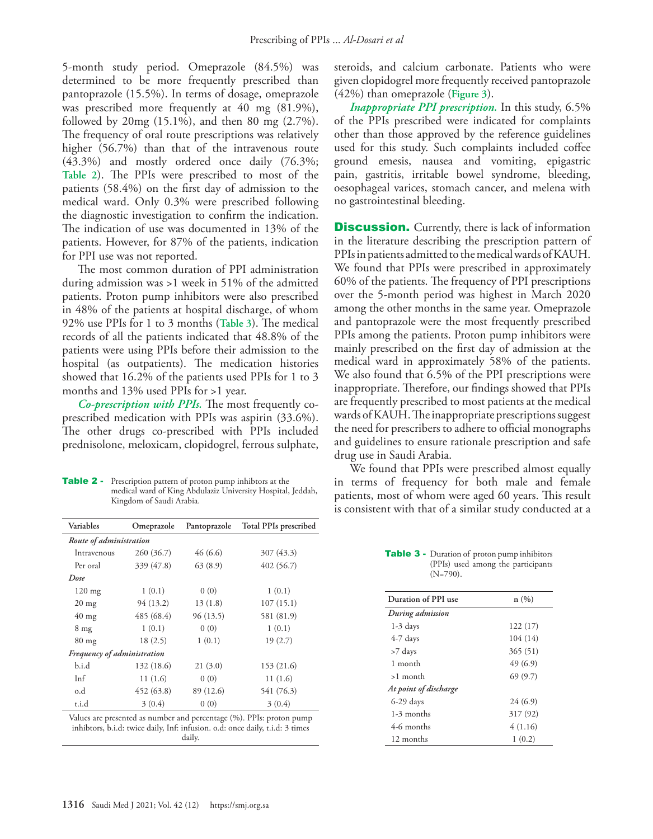5-month study period. Omeprazole (84.5%) was determined to be more frequently prescribed than pantoprazole (15.5%). In terms of dosage, omeprazole was prescribed more frequently at 40 mg (81.9%), followed by 20mg (15.1%), and then 80 mg (2.7%). The frequency of oral route prescriptions was relatively higher (56.7%) than that of the intravenous route (43.3%) and mostly ordered once daily (76.3%; **Table 2**). The PPIs were prescribed to most of the patients (58.4%) on the first day of admission to the medical ward. Only 0.3% were prescribed following the diagnostic investigation to confirm the indication. The indication of use was documented in 13% of the patients. However, for 87% of the patients, indication for PPI use was not reported.

The most common duration of PPI administration during admission was >1 week in 51% of the admitted patients. Proton pump inhibitors were also prescribed in 48% of the patients at hospital discharge, of whom 92% use PPIs for 1 to 3 months (**Table 3**). The medical records of all the patients indicated that 48.8% of the patients were using PPIs before their admission to the hospital (as outpatients). The medication histories showed that 16.2% of the patients used PPIs for 1 to 3 months and 13% used PPIs for >1 year.

*Co-prescription with PPIs.* The most frequently coprescribed medication with PPIs was aspirin (33.6%). The other drugs co-prescribed with PPIs included prednisolone, meloxicam, clopidogrel, ferrous sulphate,

Table 2 - Prescription pattern of proton pump inhibtors at the medical ward of King Abdulaziz University Hospital, Jeddah, Kingdom of Saudi Arabia.

| Variables                   | Omeprazole | Pantoprazole | <b>Total PPIs prescribed</b>                                                                                                                            |
|-----------------------------|------------|--------------|---------------------------------------------------------------------------------------------------------------------------------------------------------|
| Route of administration     |            |              |                                                                                                                                                         |
| Intravenous                 | 260 (36.7) | 46 (6.6)     | 307 (43.3)                                                                                                                                              |
| Per oral                    | 339 (47.8) | 63(8.9)      | 402 (56.7)                                                                                                                                              |
| Dose                        |            |              |                                                                                                                                                         |
| $120$ mg                    | 1(0.1)     | 0(0)         | 1(0.1)                                                                                                                                                  |
| $20 \text{ mg}$             | 94 (13.2)  | 13(1.8)      | 107(15.1)                                                                                                                                               |
| $40 \text{ mg}$             | 485 (68.4) | 96 (13.5)    | 581 (81.9)                                                                                                                                              |
| 8 <sub>mg</sub>             | 1(0.1)     | 0(0)         | 1(0.1)                                                                                                                                                  |
| $80 \text{ mg}$             | 18(2.5)    | 1(0.1)       | 19(2.7)                                                                                                                                                 |
| Frequency of administration |            |              |                                                                                                                                                         |
| b.i.d                       | 132 (18.6) | 21(3.0)      | 153 (21.6)                                                                                                                                              |
| Inf                         | 11(1.6)    | 0(0)         | 11(1.6)                                                                                                                                                 |
| o.d                         | 452 (63.8) | 89 (12.6)    | 541 (76.3)                                                                                                                                              |
| t.i.d                       | 3(0.4)     | 0(0)         | 3(0.4)                                                                                                                                                  |
|                             |            |              | Values are presented as number and percentage (%). PPIs: proton pump<br>talethas as det de mater detho Taff taffacte as each case dethoset de 9 stasses |

inhibtors, b.i.d: twice daily, Inf: infusion. o.d: once daily, t.i.d: 3 times daily.

steroids, and calcium carbonate. Patients who were given clopidogrel more frequently received pantoprazole (42%) than omeprazole (**Figure 3**).

*Inappropriate PPI prescription.* In this study, 6.5% of the PPIs prescribed were indicated for complaints other than those approved by the reference guidelines used for this study. Such complaints included coffee ground emesis, nausea and vomiting, epigastric pain, gastritis, irritable bowel syndrome, bleeding, oesophageal varices, stomach cancer, and melena with no gastrointestinal bleeding.

**Discussion.** Currently, there is lack of information in the literature describing the prescription pattern of PPIs in patients admitted to the medical wards of KAUH. We found that PPIs were prescribed in approximately 60% of the patients. The frequency of PPI prescriptions over the 5-month period was highest in March 2020 among the other months in the same year. Omeprazole and pantoprazole were the most frequently prescribed PPIs among the patients. Proton pump inhibitors were mainly prescribed on the first day of admission at the medical ward in approximately 58% of the patients. We also found that 6.5% of the PPI prescriptions were inappropriate. Therefore, our findings showed that PPIs are frequently prescribed to most patients at the medical wards of KAUH. The inappropriate prescriptions suggest the need for prescribers to adhere to official monographs and guidelines to ensure rationale prescription and safe drug use in Saudi Arabia.

We found that PPIs were prescribed almost equally in terms of frequency for both male and female patients, most of whom were aged 60 years. This result is consistent with that of a similar study conducted at a

Table 3 - Duration of proton pump inhibitors (PPIs) used among the participants (N=790).

| Duration of PPI use   | n(%)     |
|-----------------------|----------|
| During admission      |          |
| $1-3$ days            | 122(17)  |
| 4-7 days              | 104 (14) |
| >7 days               | 365 (51) |
| 1 month               | 49(6.9)  |
| >1 month              | 69(9.7)  |
| At point of discharge |          |
| $6-29$ days           | 24(6.9)  |
| $1-3$ months          | 317 (92) |
| 4-6 months            | 4(1.16)  |
| 12 months             | 1(0.2)   |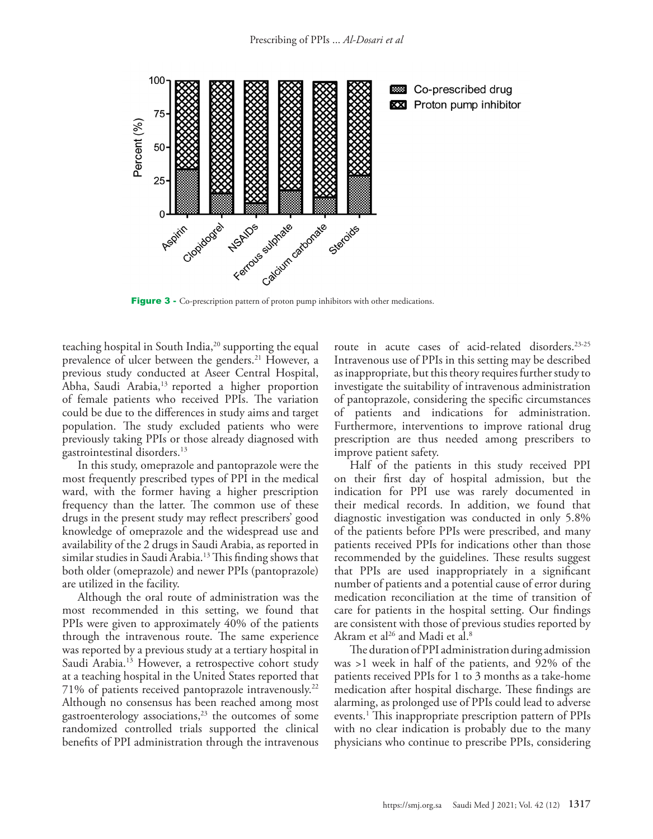

Figure 3 - Co-prescription pattern of proton pump inhibitors with other medications.

teaching hospital in South India,<sup>20</sup> supporting the equal prevalence of ulcer between the genders.<sup>21</sup> However, a previous study conducted at Aseer Central Hospital, Abha, Saudi Arabia,<sup>13</sup> reported a higher proportion of female patients who received PPIs. The variation could be due to the differences in study aims and target population. The study excluded patients who were previously taking PPIs or those already diagnosed with gastrointestinal disorders[.13](#page-5-14)

In this study, omeprazole and pantoprazole were the most frequently prescribed types of PPI in the medical ward, with the former having a higher prescription frequency than the latter. The common use of these drugs in the present study may reflect prescribers' good knowledge of omeprazole and the widespread use and availability of the 2 drugs in Saudi Arabia, as reported in similar studies in Saudi Arabia.<sup>13</sup> This finding shows that both older (omeprazole) and newer PPIs (pantoprazole) are utilized in the facility.

Although the oral route of administration was the most recommended in this setting, we found that PPIs were given to approximately 40% of the patients through the intravenous route. The same experience was reported by a previous study at a tertiary hospital in Saudi Arabia.<sup>[13](#page-5-14)</sup> However, a retrospective cohort study at a teaching hospital in the United States reported that 71% of patients received pantoprazole intravenously[.22](#page-6-2) Although no consensus has been reached among most gastroenterology associations,[23](#page-6-3) the outcomes of some randomized controlled trials supported the clinical benefits of PPI administration through the intravenous

route in acute cases of acid-related disorders.<sup>[23](#page-6-3)[-25](#page-6-4)</sup> Intravenous use of PPIs in this setting may be described as inappropriate, but this theory requires further study to investigate the suitability of intravenous administration of pantoprazole, considering the specific circumstances of patients and indications for administration. Furthermore, interventions to improve rational drug prescription are thus needed among prescribers to improve patient safety.

Half of the patients in this study received PPI on their first day of hospital admission, but the indication for PPI use was rarely documented in their medical records. In addition, we found that diagnostic investigation was conducted in only 5.8% of the patients before PPIs were prescribed, and many patients received PPIs for indications other than those recommended by the guidelines. These results suggest that PPIs are used inappropriately in a significant number of patients and a potential cause of error during medication reconciliation at the time of transition of care for patients in the hospital setting. Our findings are consistent with those of previous studies reported by Akram et al<sup>26</sup> and Madi et al.<sup>[8](#page-5-15)</sup>

The duration of PPI administration during admission was >1 week in half of the patients, and 92% of the patients received PPIs for 1 to 3 months as a take-home medication after hospital discharge. These findings are alarming, as prolonged use of PPIs could lead to adverse events.<sup>[1](#page-5-0)</sup> This inappropriate prescription pattern of PPIs with no clear indication is probably due to the many physicians who continue to prescribe PPIs, considering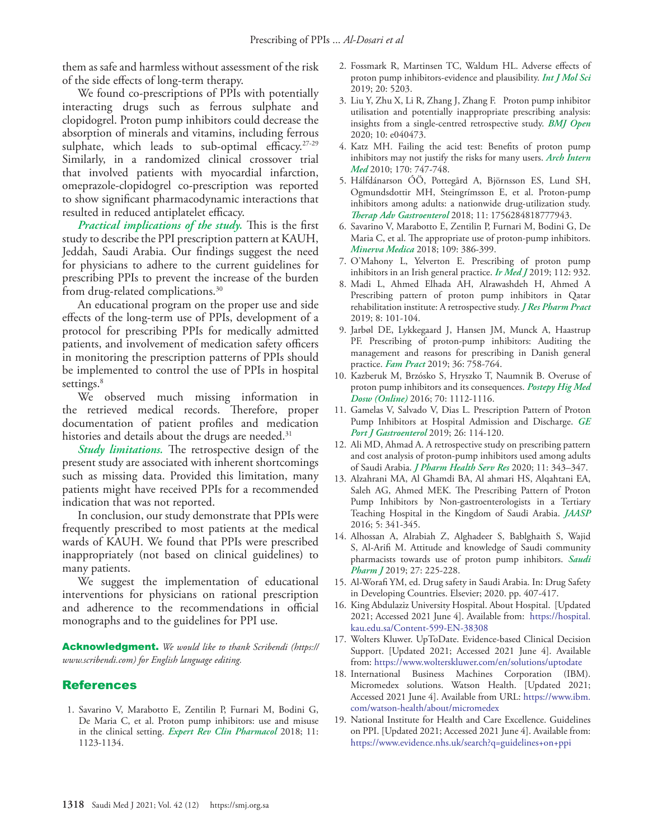them as safe and harmless without assessment of the risk of the side effects of long-term therapy.

We found co-prescriptions of PPIs with potentially interacting drugs such as ferrous sulphate and clopidogrel. Proton pump inhibitors could decrease the absorption of minerals and vitamins, including ferrous sulphate, which leads to sub-optimal efficacy.<sup>[27](#page-6-6)[-29](#page-6-7)</sup> Similarly, in a randomized clinical crossover trial that involved patients with myocardial infarction, omeprazole-clopidogrel co-prescription was reported to show significant pharmacodynamic interactions that resulted in reduced antiplatelet efficacy.

*Practical implications of the study.* This is the first study to describe the PPI prescription pattern at KAUH, Jeddah, Saudi Arabia. Our findings suggest the need for physicians to adhere to the current guidelines for prescribing PPIs to prevent the increase of the burden from drug-related complications.<sup>[30](#page-6-8)</sup>

An educational program on the proper use and side effects of the long-term use of PPIs, development of a protocol for prescribing PPIs for medically admitted patients, and involvement of medication safety officers in monitoring the prescription patterns of PPIs should be implemented to control the use of PPIs in hospital settings.<sup>8</sup>

We observed much missing information in the retrieved medical records. Therefore, proper documentation of patient profiles and medication histories and details about the drugs are needed.<sup>31</sup>

*Study limitations.* The retrospective design of the present study are associated with inherent shortcomings such as missing data. Provided this limitation, many patients might have received PPIs for a recommended indication that was not reported.

In conclusion, our study demonstrate that PPIs were frequently prescribed to most patients at the medical wards of KAUH. We found that PPIs were prescribed inappropriately (not based on clinical guidelines) to many patients.

We suggest the implementation of educational interventions for physicians on rational prescription and adherence to the recommendations in official monographs and to the guidelines for PPI use.

Acknowledgment. *We would like to thank Scribendi (https:// www.scribendi.com) for English language editing.*

### References

<span id="page-5-0"></span> 1. [Savarino V, Marabotto E, Zentilin P, Furnari M, Bodini G,](https://www.tandfonline.com/doi/full/10.1080/17512433.2018.1531703)  [De Maria C, et al. Proton pump inhibitors: use and misuse](https://www.tandfonline.com/doi/full/10.1080/17512433.2018.1531703)  in the clinical setting. *[Expert Rev Clin Pharmacol](https://www.tandfonline.com/doi/full/10.1080/17512433.2018.1531703)* 2018; 11: [1123-1134.](https://www.tandfonline.com/doi/full/10.1080/17512433.2018.1531703)

- <span id="page-5-1"></span> 2. Fossmark R, Martinsen TC, Waldum HL. Adverse effects of proton pump inhibitors-evidence and plausibility. *Int J Mol Sci* 2019; 20: 5203.
- <span id="page-5-2"></span> 3. Liu Y, Zhu X, Li R, Zhang J, Zhang F. Proton pump inhibitor utilisation and potentially inappropriate prescribing analysis: insights from a single-centred retrospective study. *BMJ Open* 2020; 10: e040473.
- <span id="page-5-3"></span> 4. Katz MH. Failing the acid test: Benefits of proton pump inhibitors may not justify the risks for many users. *Arch Intern Med* 2010; 170: 747-748.
- <span id="page-5-4"></span> 5. [Hálfdánarson ÓÖ, Pottegård A, Björnsson ES, Lund SH,](https://www.ncbi.nlm.nih.gov/pmc/articles/pmid/29872455/)  [Ogmundsdottir MH, Steingrímsson E, et al. Proton-pump](https://www.ncbi.nlm.nih.gov/pmc/articles/pmid/29872455/)  [inhibitors among adults: a nationwide drug-utilization study.](https://www.ncbi.nlm.nih.gov/pmc/articles/pmid/29872455/)  *Therap Adv Gastroenterol* [2018; 11: 1756284818777943.](https://www.ncbi.nlm.nih.gov/pmc/articles/pmid/29872455/)
- <span id="page-5-5"></span> 6. [Savarino V, Marabotto E, Zentilin P, Furnari M, Bodini G, De](https://www.minervamedica.it/index2.t?show=R10Y2018N05A0386)  [Maria C, et al. The appropriate use of proton-pump inhibitors.](https://www.minervamedica.it/index2.t?show=R10Y2018N05A0386)  *Minerva Medica* [2018; 109: 386-399.](https://www.minervamedica.it/index2.t?show=R10Y2018N05A0386)
- <span id="page-5-6"></span> 7. [O'Mahony L, Yelverton E. Prescribing of proton pump](https://pubmed.ncbi.nlm.nih.gov/31411014/)  [inhibitors in an Irish general practice.](https://pubmed.ncbi.nlm.nih.gov/31411014/) *Ir Med J* 2019; 112: 932.
- <span id="page-5-15"></span> 8. [Madi L, Ahmed Elhada AH, Alrawashdeh H, Ahmed A](https://www.ncbi.nlm.nih.gov/pmc/articles/pmid/31367645/)  [Prescribing pattern of proton pump inhibitors in Qatar](https://www.ncbi.nlm.nih.gov/pmc/articles/pmid/31367645/)  [rehabilitation institute: A retrospective study.](https://www.ncbi.nlm.nih.gov/pmc/articles/pmid/31367645/) *J Res Pharm Pract*  [2019; 8: 101-104.](https://www.ncbi.nlm.nih.gov/pmc/articles/pmid/31367645/)
- 9. Jarbøl DE, Lykkegaard J, Hansen JM, Munck A, Haastrup P[F. Prescribing of proton-pump inhibitors: Auditing the](https://academic.oup.com/fampra/article-lookup/doi/10.1093/fampra/cmz025)  [management and reasons for prescribing in Danish general](https://academic.oup.com/fampra/article-lookup/doi/10.1093/fampra/cmz025)  practice. *Fam Pract* [2019; 36: 758-764.](https://academic.oup.com/fampra/article-lookup/doi/10.1093/fampra/cmz025)
- <span id="page-5-7"></span>10. [Kazberuk M, Brzósko S, Hryszko T, Naumnik B. Overuse of](https://publisherspanel.com/icid/1222106)  [proton pump inhibitors and its consequences.](https://publisherspanel.com/icid/1222106) *Postepy Hig Med Dosw (Online)* [2016; 70: 1112-1116.](https://publisherspanel.com/icid/1222106)
- 11. [Gamelas V, Salvado V, Dias L. Prescription Pattern of Proton](https://www.ncbi.nlm.nih.gov/pmc/articles/pmid/30976616/)  [Pump Inhibitors at Hospital Admission and Discharge.](https://www.ncbi.nlm.nih.gov/pmc/articles/pmid/30976616/) *GE Port J Gastroenterol* [2019; 26: 114-120.](https://www.ncbi.nlm.nih.gov/pmc/articles/pmid/30976616/)
- <span id="page-5-8"></span>12. [Ali MD, Ahmad A. A retrospective study on prescribing pattern](https://onlinelibrary.wiley.com/doi/abs/10.1111/jphs.12369)  [and cost analysis of proton-pump inhibitors used among adults](https://onlinelibrary.wiley.com/doi/abs/10.1111/jphs.12369)  of Saudi Arabia. *[J Pharm Health Serv Res](https://onlinelibrary.wiley.com/doi/abs/10.1111/jphs.12369)* 2020; 11: 343–347.
- <span id="page-5-14"></span>13. [Alzahrani MA, Al Ghamdi BA, Al ahmari HS, Alqahtani EA,](https://www.aaspjournal.org/uploads/155/5925_pdf.pdf)  [Saleh AG, Ahmed MEK. The Prescribing Pattern of Proton](https://www.aaspjournal.org/uploads/155/5925_pdf.pdf)  [Pump Inhibitors by Non-gastroenterologists in a Tertiary](https://www.aaspjournal.org/uploads/155/5925_pdf.pdf)  [Teaching Hospital in the Kingdom of Saudi Arabia.](https://www.aaspjournal.org/uploads/155/5925_pdf.pdf) *JAASP* [2016; 5: 341-345.](https://www.aaspjournal.org/uploads/155/5925_pdf.pdf)
- <span id="page-5-9"></span>14. [Alhossan A, Alrabiah Z, Alghadeer S, Bablghaith S, Wajid](https://www.ncbi.nlm.nih.gov/pmc/articles/pmid/30766433/)  [S, Al-Arifi M. Attitude and knowledge of Saudi community](https://www.ncbi.nlm.nih.gov/pmc/articles/pmid/30766433/)  [pharmacists towards use of proton pump inhibitors.](https://www.ncbi.nlm.nih.gov/pmc/articles/pmid/30766433/) *Saudi Pharm J* [2019; 27: 225-228.](https://www.ncbi.nlm.nih.gov/pmc/articles/pmid/30766433/)
- <span id="page-5-10"></span>15. [Al-Worafi YM, ed. Drug safety in Saudi Arabia. In: Drug Safety](https://www.elsevier.com/books/drug-safety-in-developing-countries/al-worafi/978-0-12-819837-7)  [in Developing Countries. Elsevier; 2020. pp. 407-417](https://www.elsevier.com/books/drug-safety-in-developing-countries/al-worafi/978-0-12-819837-7).
- <span id="page-5-11"></span>16. King Abdulaziz University Hospital. About Hospital. [Updated 2021; Accessed 2021 June 4]. Available from: https://hospital. kau.edu.sa/Content-599-EN-38308
- <span id="page-5-12"></span>17. Wolters Kluwer. UpToDate. Evidence-based Clinical Decision Support. [Updated 2021; Accessed 2021 June 4]. Available from: https://www.wolterskluwer.com/en/solutions/uptodate
- 18. [International Business Machines Corporation \(IBM\).](https://www.ibm.com/watson-health/about/micromedex )  [Micromedex solutions. Watson Health. \[Updated 2021;](https://www.ibm.com/watson-health/about/micromedex )  [Accessed 2021 June 4\]. Available from URL: https://www.ibm.](https://www.ibm.com/watson-health/about/micromedex ) [com/watson-health/about/micromedex](https://www.ibm.com/watson-health/about/micromedex )
- <span id="page-5-13"></span>19. National Institute for Health and Care Excellence. Guidelines on PPI. [Updated 2021; Accessed 2021 June 4]. Available from: https://www.evidence.nhs.uk/search?q=guidelines+on+ppi